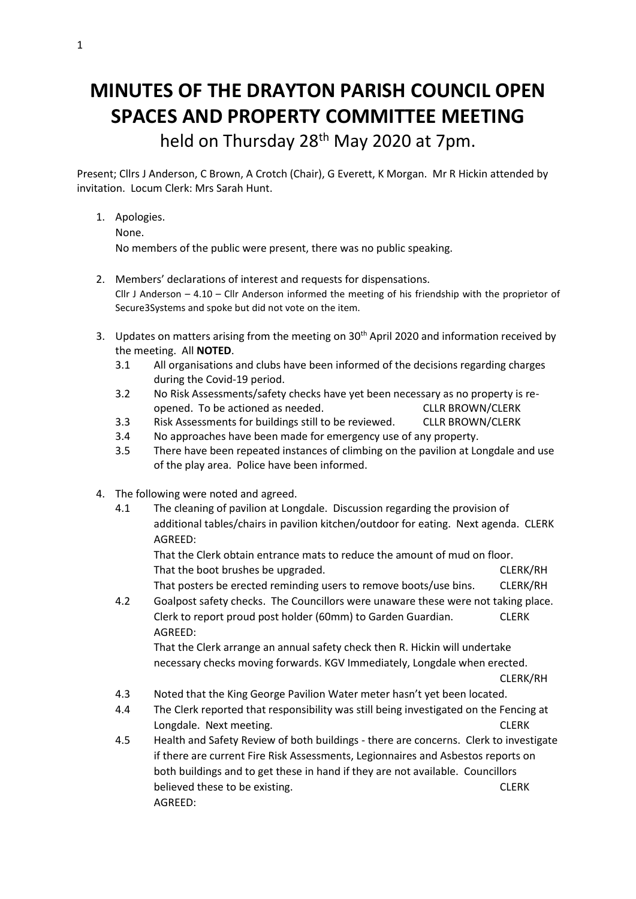## **MINUTES OF THE DRAYTON PARISH COUNCIL OPEN SPACES AND PROPERTY COMMITTEE MEETING**

held on Thursday 28<sup>th</sup> May 2020 at 7pm.

Present; Cllrs J Anderson, C Brown, A Crotch (Chair), G Everett, K Morgan. Mr R Hickin attended by invitation. Locum Clerk: Mrs Sarah Hunt.

1. Apologies.

None.

No members of the public were present, there was no public speaking.

- 2. Members' declarations of interest and requests for dispensations. Cllr J Anderson – 4.10 – Cllr Anderson informed the meeting of his friendship with the proprietor of Secure3Systems and spoke but did not vote on the item.
- 3. Updates on matters arising from the meeting on 30<sup>th</sup> April 2020 and information received by the meeting. All **NOTED**.
	- 3.1 All organisations and clubs have been informed of the decisions regarding charges during the Covid-19 period.
	- 3.2 No Risk Assessments/safety checks have yet been necessary as no property is reopened. To be actioned as needed. CLLR BROWN/CLERK
	- 3.3 Risk Assessments for buildings still to be reviewed. CLLR BROWN/CLERK
	- 3.4 No approaches have been made for emergency use of any property.
	- 3.5 There have been repeated instances of climbing on the pavilion at Longdale and use of the play area. Police have been informed.
- 4. The following were noted and agreed.
	- 4.1 The cleaning of pavilion at Longdale. Discussion regarding the provision of additional tables/chairs in pavilion kitchen/outdoor for eating. Next agenda. CLERK AGREED:

That the Clerk obtain entrance mats to reduce the amount of mud on floor. That the boot brushes be upgraded. CLERK/RH That posters be erected reminding users to remove boots/use bins. CLERK/RH

4.2 Goalpost safety checks. The Councillors were unaware these were not taking place. Clerk to report proud post holder (60mm) to Garden Guardian. CLERK AGREED:

That the Clerk arrange an annual safety check then R. Hickin will undertake necessary checks moving forwards. KGV Immediately, Longdale when erected.

CLERK/RH

- 4.3 Noted that the King George Pavilion Water meter hasn't yet been located.
- 4.4 The Clerk reported that responsibility was still being investigated on the Fencing at Longdale. Next meeting. CLERK
- 4.5 Health and Safety Review of both buildings there are concerns. Clerk to investigate if there are current Fire Risk Assessments, Legionnaires and Asbestos reports on both buildings and to get these in hand if they are not available. Councillors believed these to be existing. The contract of the contract of the contract of the contract of the contract of the contract of the contract of the contract of the contract of the contract of the contract of the contract of AGREED: